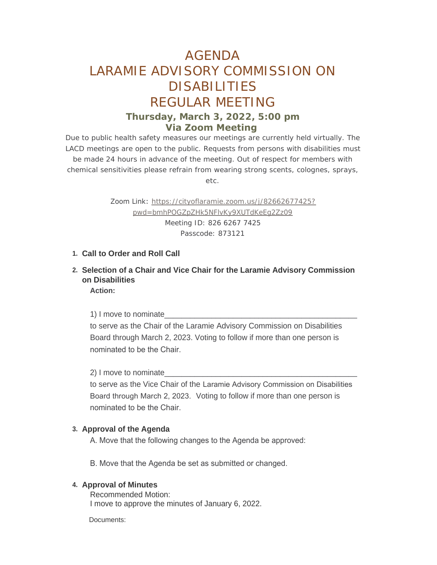# AGENDA LARAMIE ADVISORY COMMISSION ON DISABILITIES REGULAR MEETING **Thursday, March 3, 2022, 5:00 pm**

# **Via Zoom Meeting**

Due to public health safety measures our meetings are currently held virtually. The LACD meetings are open to the public. Requests from persons with disabilities must be made 24 hours in advance of the meeting. Out of respect for members with chemical sensitivities please refrain from wearing strong scents, colognes, sprays, etc.

> Zoom Link: [https://cityoflaramie.zoom.us/j/82662677425?](https://cityoflaramie.zoom.us/j/82662677425?pwd=bmhPOGZpZHk5NFlvKy9XUTdKeEg2Zz09) pwd=bmhPOGZpZHk5NFlvKy9XUTdKeEg2Zz09 Meeting ID: 826 6267 7425 Passcode: 873121

### **Call to Order and Roll Call 1.**

**Selection of a Chair and Vice Chair for the Laramie Advisory Commission 2. on Disabilities**

**Action:**

1) I move to nominate\_\_\_\_\_\_\_\_\_\_\_\_\_\_\_\_\_\_\_\_\_\_\_\_\_\_\_\_\_\_\_\_\_\_\_\_\_\_\_\_\_\_\_\_\_

to serve as the Chair of the Laramie Advisory Commission on Disabilities Board through March 2, 2023. Voting to follow if more than one person is nominated to be the Chair.

2) I move to nominate\_\_\_\_\_\_\_\_\_\_\_\_\_\_\_\_\_\_\_\_\_\_\_\_\_\_\_\_\_\_\_\_\_\_\_\_\_\_\_\_\_\_\_\_\_

to serve as the Vice Chair of the Laramie Advisory Commission on Disabilities Board through March 2, 2023. Voting to follow if more than one person is nominated to be the Chair.

#### **Approval of the Agenda 3.**

A. Move that the following changes to the Agenda be approved:

B. Move that the Agenda be set as submitted or changed.

#### **4. Approval of Minutes**

Recommended Motion: I move to approve the minutes of January 6, 2022.

Documents: